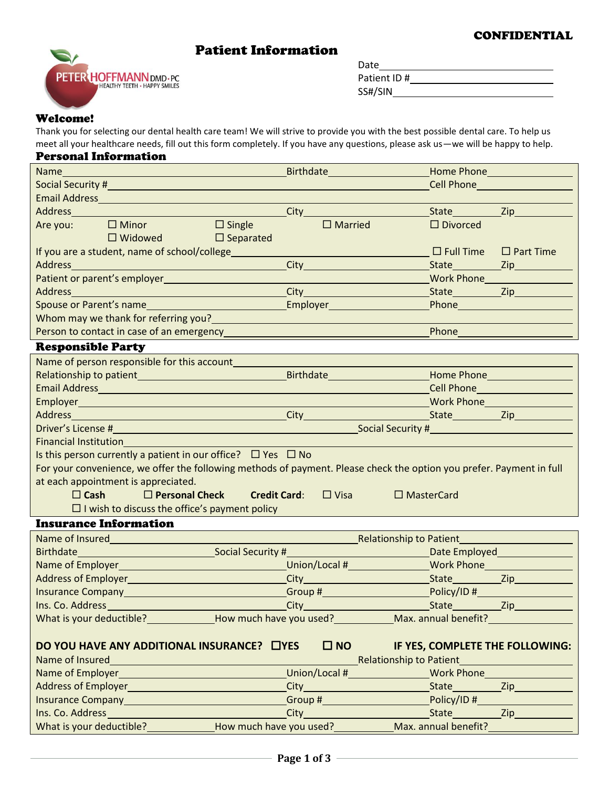#### CONFIDENTIAL

# Patient Information



| Date        |  |
|-------------|--|
| Patient ID# |  |
| SS#/SIN     |  |

### Welcome!

Thank you for selecting our dental health care team! We will strive to provide you with the best possible dental care. To help us meet all your healthcare needs, fill out this form completely. If you have any questions, please ask us—we will be happy to help.

### Personal Information

|                                                                                                         |                                                                                                                       | <b>Birthdate Experimental Stringers</b>                                                                                                                                                                                              |                                                                                                                        | <b>Home Phone Management Home Phone</b>                 |  |  |
|---------------------------------------------------------------------------------------------------------|-----------------------------------------------------------------------------------------------------------------------|--------------------------------------------------------------------------------------------------------------------------------------------------------------------------------------------------------------------------------------|------------------------------------------------------------------------------------------------------------------------|---------------------------------------------------------|--|--|
|                                                                                                         |                                                                                                                       |                                                                                                                                                                                                                                      |                                                                                                                        | Cell Phone <b>Container the Container Container</b>     |  |  |
|                                                                                                         |                                                                                                                       |                                                                                                                                                                                                                                      |                                                                                                                        |                                                         |  |  |
|                                                                                                         |                                                                                                                       |                                                                                                                                                                                                                                      |                                                                                                                        |                                                         |  |  |
|                                                                                                         | Are you: $\Box$ Minor                                                                                                 | $\Box$ Married<br>$\square$ Single                                                                                                                                                                                                   | $\Box$ Divorced                                                                                                        |                                                         |  |  |
|                                                                                                         | $\Box$ Widowed $\Box$                                                                                                 | $\Box$ Separated                                                                                                                                                                                                                     |                                                                                                                        |                                                         |  |  |
|                                                                                                         | If you are a student, name of school/college_________                                                                 |                                                                                                                                                                                                                                      | $\Box$ Full Time $\Box$ Part Time                                                                                      |                                                         |  |  |
| Address                                                                                                 |                                                                                                                       | City <b>Called City</b>                                                                                                                                                                                                              |                                                                                                                        |                                                         |  |  |
|                                                                                                         |                                                                                                                       |                                                                                                                                                                                                                                      | Work Phone <u>Containing</u>                                                                                           |                                                         |  |  |
|                                                                                                         | Address and the contract of the contract of the contract of the contract of the contract of the contract of the       |                                                                                                                                                                                                                                      |                                                                                                                        | State Zip                                               |  |  |
|                                                                                                         | Spouse or Parent's name                                                                                               |                                                                                                                                                                                                                                      |                                                                                                                        | Phone <b>Property of the Community of the Community</b> |  |  |
|                                                                                                         | Whom may we thank for referring you?                                                                                  |                                                                                                                                                                                                                                      |                                                                                                                        |                                                         |  |  |
|                                                                                                         | Person to contact in case of an emergency                                                                             |                                                                                                                                                                                                                                      | Phone                                                                                                                  |                                                         |  |  |
| <b>Responsible Party</b>                                                                                |                                                                                                                       |                                                                                                                                                                                                                                      |                                                                                                                        |                                                         |  |  |
|                                                                                                         | Name of person responsible for this account_________                                                                  |                                                                                                                                                                                                                                      |                                                                                                                        |                                                         |  |  |
|                                                                                                         |                                                                                                                       |                                                                                                                                                                                                                                      |                                                                                                                        |                                                         |  |  |
|                                                                                                         |                                                                                                                       | Email Address <b>Executive Contract Contract Contract Contract Contract Contract Contract Contract Contract Contract Contract Contract Contract Contract Contract Contract Contract Contract Contract Contract Contract Contract</b> | Cell Phone                                                                                                             |                                                         |  |  |
|                                                                                                         |                                                                                                                       |                                                                                                                                                                                                                                      |                                                                                                                        |                                                         |  |  |
|                                                                                                         |                                                                                                                       |                                                                                                                                                                                                                                      |                                                                                                                        |                                                         |  |  |
|                                                                                                         |                                                                                                                       |                                                                                                                                                                                                                                      |                                                                                                                        |                                                         |  |  |
|                                                                                                         | <b>Financial Institution</b>                                                                                          |                                                                                                                                                                                                                                      |                                                                                                                        |                                                         |  |  |
|                                                                                                         |                                                                                                                       | Is this person currently a patient in our office? $\Box$ Yes $\Box$ No                                                                                                                                                               |                                                                                                                        |                                                         |  |  |
|                                                                                                         |                                                                                                                       | For your convenience, we offer the following methods of payment. Please check the option you prefer. Payment in full                                                                                                                 |                                                                                                                        |                                                         |  |  |
|                                                                                                         | at each appointment is appreciated.                                                                                   |                                                                                                                                                                                                                                      |                                                                                                                        |                                                         |  |  |
|                                                                                                         |                                                                                                                       | $\Box$ Cash $\Box$ Personal Check Credit Card: $\Box$ Visa                                                                                                                                                                           | $\Box$ MasterCard                                                                                                      |                                                         |  |  |
|                                                                                                         | $\Box$ I wish to discuss the office's payment policy                                                                  |                                                                                                                                                                                                                                      |                                                                                                                        |                                                         |  |  |
|                                                                                                         | <b>Insurance Information</b>                                                                                          |                                                                                                                                                                                                                                      |                                                                                                                        |                                                         |  |  |
|                                                                                                         |                                                                                                                       |                                                                                                                                                                                                                                      | <b>Example 20 Relationship to Patient</b>                                                                              |                                                         |  |  |
|                                                                                                         |                                                                                                                       | Birthdate <b>Example 2018</b> Social Security # Social Security # Social Security # Social Security # Social Security # Social Security # Social Security # Social Security # Social Security # Social Security # Social Security #  | <b>Example 2018</b> Date Employed <b>CONFIDENTIAL CONTINUES</b>                                                        |                                                         |  |  |
|                                                                                                         |                                                                                                                       |                                                                                                                                                                                                                                      |                                                                                                                        |                                                         |  |  |
|                                                                                                         |                                                                                                                       |                                                                                                                                                                                                                                      |                                                                                                                        |                                                         |  |  |
|                                                                                                         |                                                                                                                       |                                                                                                                                                                                                                                      |                                                                                                                        |                                                         |  |  |
| Ins. Co. Address                                                                                        | <u> 1989 - Johann Barnett, mars et al. 1989 - Anna ann an t-Anna ann an t-Anna ann an t-Anna ann an t-Anna ann an</u> |                                                                                                                                                                                                                                      | City City State State State City                                                                                       |                                                         |  |  |
|                                                                                                         |                                                                                                                       |                                                                                                                                                                                                                                      |                                                                                                                        |                                                         |  |  |
|                                                                                                         |                                                                                                                       |                                                                                                                                                                                                                                      |                                                                                                                        |                                                         |  |  |
| $\square$ NO $\square$<br>DO YOU HAVE ANY ADDITIONAL INSURANCE? LYES<br>IF YES, COMPLETE THE FOLLOWING: |                                                                                                                       |                                                                                                                                                                                                                                      |                                                                                                                        |                                                         |  |  |
| Name of Insured                                                                                         |                                                                                                                       | <u> 1980 - Johann Barn, amerikan bestemannten bestemannten bestemannten bestemannten bestemannten bestemannten b</u>                                                                                                                 | Relationship to Patient <b>Constant Act of Act of Act of Act of Act of Act of Act of Act of Act of Act of Act of A</b> |                                                         |  |  |
|                                                                                                         |                                                                                                                       |                                                                                                                                                                                                                                      |                                                                                                                        |                                                         |  |  |
|                                                                                                         |                                                                                                                       |                                                                                                                                                                                                                                      |                                                                                                                        |                                                         |  |  |
|                                                                                                         | Insurance Company <b>Manual According to the Company</b>                                                              |                                                                                                                                                                                                                                      |                                                                                                                        |                                                         |  |  |
|                                                                                                         |                                                                                                                       |                                                                                                                                                                                                                                      |                                                                                                                        |                                                         |  |  |
|                                                                                                         |                                                                                                                       | What is your deductible? _______________How much have you used? ____________Max. annual benefit? _____________                                                                                                                       |                                                                                                                        |                                                         |  |  |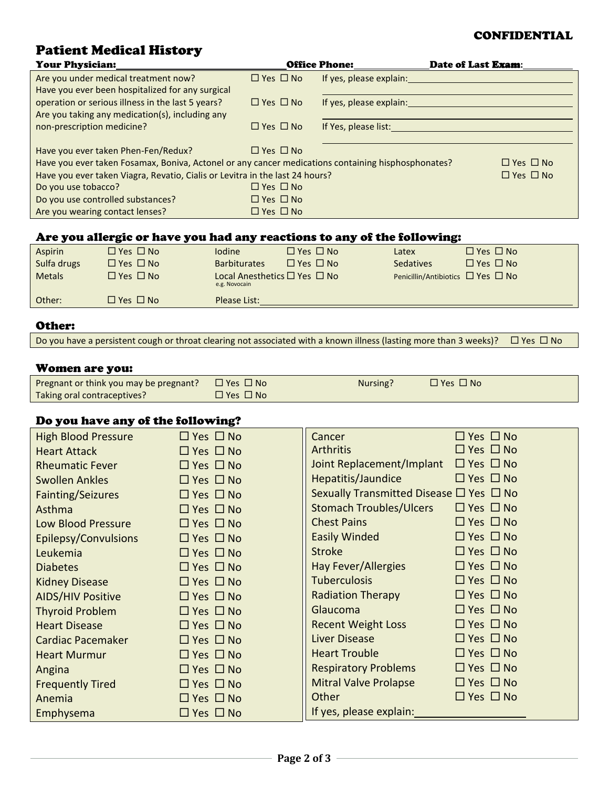### CONFIDENTIAL

# Patient Medical History

| <b>Your Physician:</b>                                                                                                                     | I WELCHE INCUBEUR BEBUCUL, T                                                                       |                                               |                      | <b>Office Phone:</b> |                  | Date of Last Exam:                                                                                                                                                                                                             |                      |
|--------------------------------------------------------------------------------------------------------------------------------------------|----------------------------------------------------------------------------------------------------|-----------------------------------------------|----------------------|----------------------|------------------|--------------------------------------------------------------------------------------------------------------------------------------------------------------------------------------------------------------------------------|----------------------|
|                                                                                                                                            | Are you under medical treatment now?                                                               | $\Box$ Yes $\Box$ No                          |                      |                      |                  |                                                                                                                                                                                                                                |                      |
|                                                                                                                                            | Have you ever been hospitalized for any surgical                                                   |                                               |                      |                      |                  |                                                                                                                                                                                                                                |                      |
|                                                                                                                                            | operation or serious illness in the last 5 years?                                                  | $\Box$ Yes $\Box$ No                          |                      |                      |                  | If yes, please explain: The contract of the contract of the contract of the contract of the contract of the contract of the contract of the contract of the contract of the contract of the contract of the contract of the co |                      |
|                                                                                                                                            | Are you taking any medication(s), including any                                                    |                                               |                      |                      |                  |                                                                                                                                                                                                                                |                      |
| non-prescription medicine?                                                                                                                 |                                                                                                    | $\Box$ Yes $\Box$ No                          |                      |                      |                  |                                                                                                                                                                                                                                |                      |
|                                                                                                                                            |                                                                                                    |                                               |                      |                      |                  |                                                                                                                                                                                                                                |                      |
|                                                                                                                                            | Have you ever taken Phen-Fen/Redux?                                                                | $\Box$ Yes $\Box$ No                          |                      |                      |                  |                                                                                                                                                                                                                                |                      |
|                                                                                                                                            | Have you ever taken Fosamax, Boniva, Actonel or any cancer medications containing hisphosphonates? |                                               |                      |                      |                  |                                                                                                                                                                                                                                | $\Box$ Yes $\Box$ No |
|                                                                                                                                            | Have you ever taken Viagra, Revatio, Cialis or Levitra in the last 24 hours?                       |                                               |                      |                      |                  |                                                                                                                                                                                                                                | $\Box$ Yes $\Box$ No |
| Do you use tobacco?                                                                                                                        |                                                                                                    | $\Box$ Yes $\Box$ No                          |                      |                      |                  |                                                                                                                                                                                                                                |                      |
|                                                                                                                                            | Do you use controlled substances?                                                                  | $\Box$ Yes $\Box$ No                          |                      |                      |                  |                                                                                                                                                                                                                                |                      |
|                                                                                                                                            | Are you wearing contact lenses?                                                                    | $\Box$ Yes $\Box$ No                          |                      |                      |                  |                                                                                                                                                                                                                                |                      |
|                                                                                                                                            |                                                                                                    |                                               |                      |                      |                  |                                                                                                                                                                                                                                |                      |
|                                                                                                                                            | Are you allergic or have you had any reactions to any of the following:                            |                                               |                      |                      |                  |                                                                                                                                                                                                                                |                      |
| Aspirin                                                                                                                                    | $\Box$ Yes $\Box$ No                                                                               | lodine                                        | $\Box$ Yes $\Box$ No |                      | Latex            | $\Box$ Yes $\Box$ No                                                                                                                                                                                                           |                      |
| Sulfa drugs                                                                                                                                | $\Box$ Yes $\Box$ No                                                                               | <b>Barbiturates</b>                           | $\Box$ Yes $\Box$ No |                      | <b>Sedatives</b> | $\Box$ Yes $\Box$ No                                                                                                                                                                                                           |                      |
| <b>Metals</b>                                                                                                                              | $\Box$ Yes $\Box$ No                                                                               | Local Anesthetics □ Yes □ No<br>e.g. Novocain |                      |                      |                  | Penicillin/Antibiotics □ Yes □ No                                                                                                                                                                                              |                      |
| Other:                                                                                                                                     | $\Box$ Yes $\Box$ No                                                                               | Please List:                                  |                      |                      |                  |                                                                                                                                                                                                                                |                      |
| <b>Other:</b>                                                                                                                              |                                                                                                    |                                               |                      |                      |                  |                                                                                                                                                                                                                                |                      |
| Do you have a persistent cough or throat clearing not associated with a known illness (lasting more than 3 weeks)?<br>$\Box$ Yes $\Box$ No |                                                                                                    |                                               |                      |                      |                  |                                                                                                                                                                                                                                |                      |
|                                                                                                                                            |                                                                                                    |                                               |                      |                      |                  |                                                                                                                                                                                                                                |                      |
| Women are you:                                                                                                                             |                                                                                                    |                                               |                      |                      |                  |                                                                                                                                                                                                                                |                      |
|                                                                                                                                            | Pregnant or think you may be pregnant?                                                             | $\Box$ Yes $\Box$ No                          |                      |                      | Nursing?         | $\Box$ Yes $\Box$ No                                                                                                                                                                                                           |                      |
| Taking oral contraceptives?                                                                                                                |                                                                                                    | $\Box$ Yes $\Box$ No                          |                      |                      |                  |                                                                                                                                                                                                                                |                      |

### Do you have any of the following?

| <b>High Blood Pressure</b> | $\Box$ Yes $\Box$ No | Cancer                                            | $\Box$ Yes $\Box$ No |
|----------------------------|----------------------|---------------------------------------------------|----------------------|
| <b>Heart Attack</b>        | $\Box$ Yes $\Box$ No | <b>Arthritis</b>                                  | $\Box$ Yes $\Box$ No |
| <b>Rheumatic Fever</b>     | $\Box$ Yes $\Box$ No | Joint Replacement/Implant                         | $\Box$ Yes $\Box$ No |
| <b>Swollen Ankles</b>      | $\Box$ Yes $\Box$ No | Hepatitis/Jaundice                                | $\Box$ Yes $\Box$ No |
| <b>Fainting/Seizures</b>   | $\Box$ Yes $\Box$ No | Sexually Transmitted Disease $\Box$ Yes $\Box$ No |                      |
| Asthma                     | $\Box$ Yes $\Box$ No | <b>Stomach Troubles/Ulcers</b>                    | $\Box$ Yes $\Box$ No |
| <b>Low Blood Pressure</b>  | $\Box$ Yes $\Box$ No | <b>Chest Pains</b>                                | $\Box$ Yes $\Box$ No |
| Epilepsy/Convulsions       | $\Box$ Yes $\Box$ No | <b>Easily Winded</b>                              | $\Box$ Yes $\Box$ No |
| Leukemia                   | $\Box$ Yes $\Box$ No | <b>Stroke</b>                                     | $\Box$ Yes $\Box$ No |
| <b>Diabetes</b>            | $\Box$ Yes $\Box$ No | Hay Fever/Allergies                               | $\Box$ Yes $\Box$ No |
| <b>Kidney Disease</b>      | $\Box$ Yes $\Box$ No | <b>Tuberculosis</b>                               | $\Box$ Yes $\Box$ No |
| <b>AIDS/HIV Positive</b>   | $\Box$ Yes $\Box$ No | <b>Radiation Therapy</b>                          | $\Box$ Yes $\Box$ No |
| <b>Thyroid Problem</b>     | $\Box$ Yes $\Box$ No | Glaucoma                                          | $\Box$ Yes $\Box$ No |
| <b>Heart Disease</b>       | $\Box$ Yes $\Box$ No | <b>Recent Weight Loss</b>                         | $\Box$ Yes $\Box$ No |
| <b>Cardiac Pacemaker</b>   | $\Box$ Yes $\Box$ No | <b>Liver Disease</b>                              | $\Box$ Yes $\Box$ No |
| <b>Heart Murmur</b>        | $\Box$ Yes $\Box$ No | <b>Heart Trouble</b>                              | $\Box$ Yes $\Box$ No |
| Angina                     | $\Box$ Yes $\Box$ No | <b>Respiratory Problems</b>                       | $\Box$ Yes $\Box$ No |
| <b>Frequently Tired</b>    | $\Box$ Yes $\Box$ No | <b>Mitral Valve Prolapse</b>                      | $\Box$ Yes $\Box$ No |
| Anemia                     | $\Box$ Yes $\Box$ No | Other                                             | $\Box$ Yes $\Box$ No |
| Emphysema                  | $\Box$ Yes $\Box$ No | If yes, please explain:                           |                      |